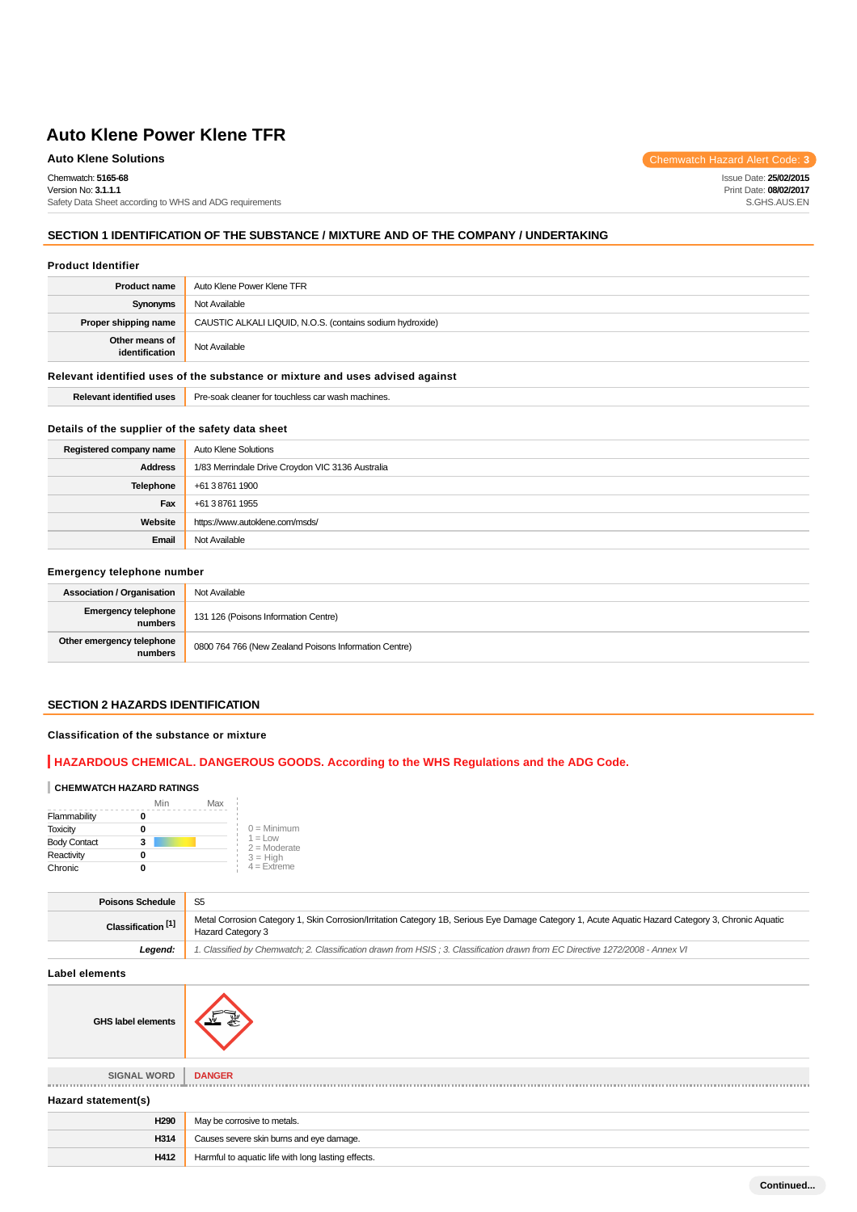Chemwatch: **5165-68**

Version No: **3.1.1.1** Safety Data Sheet according to WHS and ADG requirements

## **SECTION 1 IDENTIFICATION OF THE SUBSTANCE / MIXTURE AND OF THE COMPANY / UNDERTAKING**

#### **Product Identifier**

| <b>Product name</b>                                                           | Auto Klene Power Klene TFR                                |  |
|-------------------------------------------------------------------------------|-----------------------------------------------------------|--|
| Synonyms                                                                      | Not Available                                             |  |
| Proper shipping name                                                          | CAUSTIC ALKALI LIQUID, N.O.S. (contains sodium hydroxide) |  |
| Other means of<br>identification                                              | Not Available                                             |  |
| Relevant identified uses of the substance or mixture and uses advised against |                                                           |  |
| <b>Relevant identified uses</b>                                               | Pre-soak cleaner for touchless car wash machines.         |  |

## **Details of the supplier of the safety data sheet**

| Registered company name | Auto Klene Solutions                             |  |
|-------------------------|--------------------------------------------------|--|
| <b>Address</b>          | 1/83 Merrindale Drive Croydon VIC 3136 Australia |  |
| <b>Telephone</b>        | +61 3 8761 1900                                  |  |
| Fax                     | +61 3 8761 1955                                  |  |
| Website                 | https://www.autoklene.com/msds/                  |  |
| Email                   | Not Available                                    |  |

#### **Emergency telephone number**

| <b>Association / Organisation</b>    | Not Available                                         |
|--------------------------------------|-------------------------------------------------------|
| Emergency telephone<br>numbers       | 131 126 (Poisons Information Centre)                  |
| Other emergency telephone<br>numbers | 0800 764 766 (New Zealand Poisons Information Centre) |

## **SECTION 2 HAZARDS IDENTIFICATION**

## **Classification of the substance or mixture**

## **HAZARDOUS CHEMICAL. DANGEROUS GOODS. According to the WHS Regulations and the ADG Code.**

#### **CHEMWATCH HAZARD RATINGS**

|                     | Min | Max |                                    |
|---------------------|-----|-----|------------------------------------|
| Flammability        |     |     |                                    |
| <b>Toxicity</b>     |     |     | $0 =$ Minimum                      |
| <b>Body Contact</b> | 3   |     | $1 = 1$ $\Omega$<br>$2 =$ Moderate |
| Reactivity          |     |     | $3 = High$                         |
| Chronic             |     |     | $4 =$ Extreme                      |

| <b>Poisons Schedule</b>       |                                                                                                                                                                         |
|-------------------------------|-------------------------------------------------------------------------------------------------------------------------------------------------------------------------|
| Classification <sup>[1]</sup> | Metal Corrosion Category 1, Skin Corrosion/Irritation Category 1B, Serious Eye Damage Category 1, Acute Aquatic Hazard Category 3, Chronic Aquatic<br>Hazard Category 3 |
| Leaend:                       | 1. Classified by Chemwatch; 2. Classification drawn from HSIS; 3. Classification drawn from EC Directive 1272/2008 - Annex VI                                           |

**Label elements**

| <b>GHS label elements</b>                                  |  |
|------------------------------------------------------------|--|
|                                                            |  |
| <b>SIGNAL WORD</b><br><b>DANGER</b>                        |  |
| Hazard statement(s)                                        |  |
| H290<br>May be corrosive to metals.                        |  |
| H314<br>Causes severe skin burns and eye damage.           |  |
| H412<br>Harmful to aquatic life with long lasting effects. |  |

Issue Date: **25/02/2015** Print Date: **08/02/2017** S.GHS.AUS.EN

**Auto Klene Solutions** Chemwatch Hazard Alert Code: 3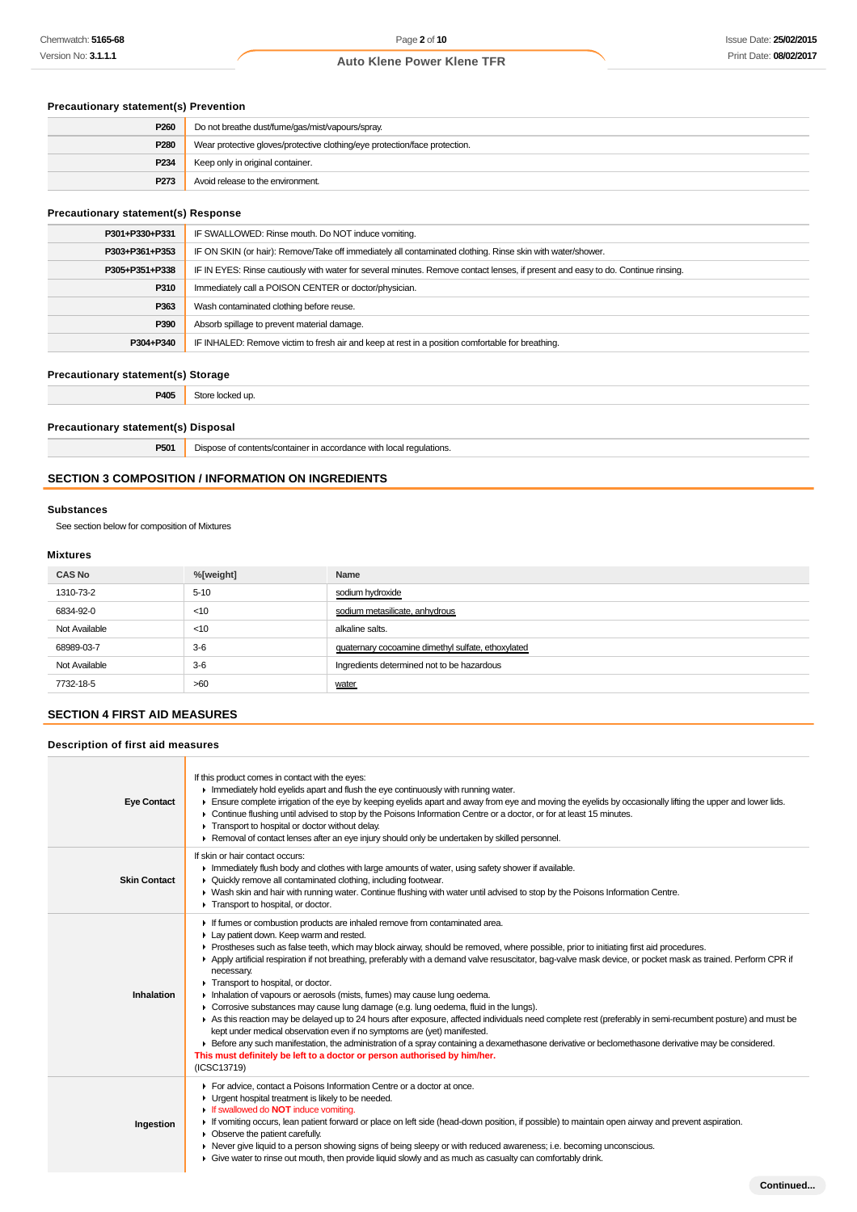## **Precautionary statement(s) Prevention**

| P <sub>260</sub> | Do not breathe dust/fume/gas/mist/vapours/spray.                           |
|------------------|----------------------------------------------------------------------------|
| P280             | Wear protective gloves/protective clothing/eye protection/face protection. |
| P234             | Keep only in original container.                                           |
| P273             | Avoid release to the environment.                                          |

## **Precautionary statement(s) Response**

| P301+P330+P331 | IF SWALLOWED: Rinse mouth. Do NOT induce vomiting.                                                                               |  |
|----------------|----------------------------------------------------------------------------------------------------------------------------------|--|
| P303+P361+P353 | IF ON SKIN (or hair): Remove/Take off immediately all contaminated clothing. Rinse skin with water/shower.                       |  |
| P305+P351+P338 | IF IN EYES: Rinse cautiously with water for several minutes. Remove contact lenses, if present and easy to do. Continue rinsing. |  |
| P310           | Immediately call a POISON CENTER or doctor/physician.                                                                            |  |
| P363           | Wash contaminated clothing before reuse.                                                                                         |  |
| P390           | Absorb spillage to prevent material damage.                                                                                      |  |
| P304+P340      | IF INHALED: Remove victim to fresh air and keep at rest in a position comfortable for breathing.                                 |  |
|                |                                                                                                                                  |  |

#### **Precautionary statement(s) Storage**

**P405** Store locked up.

#### **Precautionary statement(s) Disposal**

**P501** Dispose of contents/container in accordance with local regulations.

## **SECTION 3 COMPOSITION / INFORMATION ON INGREDIENTS**

### **Substances**

See section below for composition of Mixtures

### **Mixtures**

| <b>CAS No</b> | %[weight] | Name                                               |
|---------------|-----------|----------------------------------------------------|
| 1310-73-2     | $5 - 10$  | sodium hydroxide                                   |
| 6834-92-0     | $<$ 10    | sodium metasilicate, anhydrous                     |
| Not Available | $<$ 10    | alkaline salts.                                    |
| 68989-03-7    | $3-6$     | quaternary cocoamine dimethyl sulfate, ethoxylated |
| Not Available | $3-6$     | Ingredients determined not to be hazardous         |
| 7732-18-5     | >60       | water                                              |

## **SECTION 4 FIRST AID MEASURES**

## **Description of first aid measures**

٦

| <b>Eye Contact</b>  | If this product comes in contact with the eyes:<br>In mediately hold eyelids apart and flush the eye continuously with running water.<br>Ensure complete irrigation of the eye by keeping eyelids apart and away from eye and moving the eyelids by occasionally lifting the upper and lower lids.<br>Continue flushing until advised to stop by the Poisons Information Centre or a doctor, or for at least 15 minutes.<br>Transport to hospital or doctor without delay.<br>► Removal of contact lenses after an eye injury should only be undertaken by skilled personnel.                                                                                                                                                                                                                                                                                                                                                                                                                                                                                                                                                                        |
|---------------------|------------------------------------------------------------------------------------------------------------------------------------------------------------------------------------------------------------------------------------------------------------------------------------------------------------------------------------------------------------------------------------------------------------------------------------------------------------------------------------------------------------------------------------------------------------------------------------------------------------------------------------------------------------------------------------------------------------------------------------------------------------------------------------------------------------------------------------------------------------------------------------------------------------------------------------------------------------------------------------------------------------------------------------------------------------------------------------------------------------------------------------------------------|
| <b>Skin Contact</b> | If skin or hair contact occurs:<br>In Immediately flush body and clothes with large amounts of water, using safety shower if available.<br>Quickly remove all contaminated clothing, including footwear.<br>• Wash skin and hair with running water. Continue flushing with water until advised to stop by the Poisons Information Centre.<br>Transport to hospital, or doctor.                                                                                                                                                                                                                                                                                                                                                                                                                                                                                                                                                                                                                                                                                                                                                                      |
| Inhalation          | If fumes or combustion products are inhaled remove from contaminated area.<br>Lay patient down. Keep warm and rested.<br>▶ Prostheses such as false teeth, which may block airway, should be removed, where possible, prior to initiating first aid procedures.<br>▶ Apply artificial respiration if not breathing, preferably with a demand valve resuscitator, bag-valve mask device, or pocket mask as trained. Perform CPR if<br>necessary.<br>Transport to hospital, or doctor.<br>Inhalation of vapours or aerosols (mists, fumes) may cause lung oedema.<br>• Corrosive substances may cause lung damage (e.g. lung oedema, fluid in the lungs).<br>As this reaction may be delayed up to 24 hours after exposure, affected individuals need complete rest (preferably in semi-recumbent posture) and must be<br>kept under medical observation even if no symptoms are (yet) manifested.<br>Exercise any such manifestation, the administration of a spray containing a dexamethasone derivative or beclomethasone derivative may be considered.<br>This must definitely be left to a doctor or person authorised by him/her.<br>(ICSC13719) |
| Ingestion           | For advice, contact a Poisons Information Centre or a doctor at once.<br>Urgent hospital treatment is likely to be needed.<br>If swallowed do <b>NOT</b> induce vomiting.<br>If vomiting occurs, lean patient forward or place on left side (head-down position, if possible) to maintain open airway and prevent aspiration.<br>$\triangleright$ Observe the patient carefully.<br>▶ Never give liquid to a person showing signs of being sleepy or with reduced awareness; i.e. becoming unconscious.<br>• Give water to rinse out mouth, then provide liquid slowly and as much as casualty can comfortably drink.                                                                                                                                                                                                                                                                                                                                                                                                                                                                                                                                |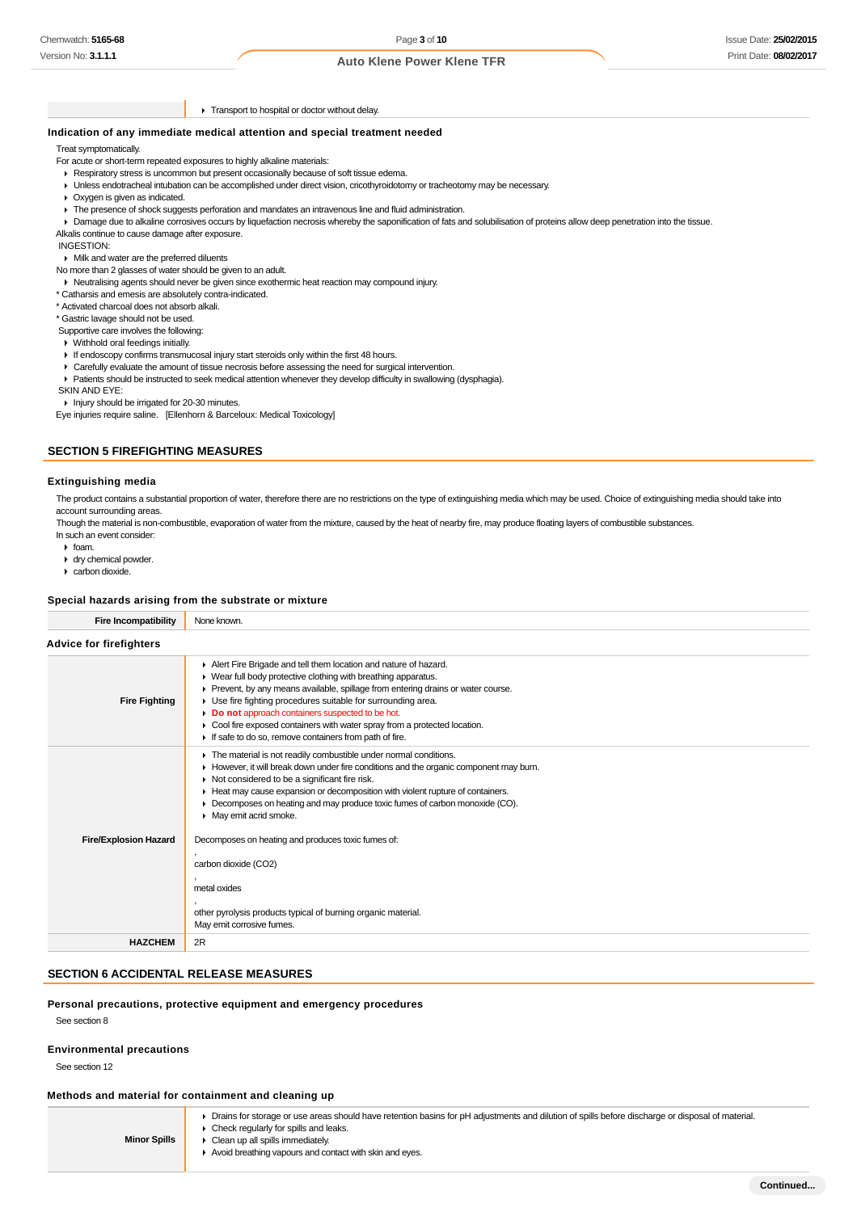**F** Transport to hospital or doctor without delay.

#### **Indication of any immediate medical attention and special treatment needed**

Treat symptomatically.

- For acute or short-term repeated exposures to highly alkaline materials:
- **Respiratory stress is uncommon but present occasionally because of soft tissue edema.**
- Unless endotracheal intubation can be accomplished under direct vision, cricothyroidotomy or tracheotomy may be necessary.
- Oxygen is given as indicated.
- The presence of shock suggests perforation and mandates an intravenous line and fluid administration.

Damage due to alkaline corrosives occurs by liquefaction necrosis whereby the saponification of fats and solubilisation of proteins allow deep penetration into the tissue. Alkalis continue to cause damage after exposure.

INGESTION:

Milk and water are the preferred diluents

No more than 2 glasses of water should be given to an adult.

Neutralising agents should never be given since exothermic heat reaction may compound injury.

\* Catharsis and emesis are absolutely contra-indicated.

\* Activated charcoal does not absorb alkali.

\* Gastric lavage should not be used.

Supportive care involves the following:

- Withhold oral feedings initially.
- If endoscopy confirms transmucosal injury start steroids only within the first 48 hours.
- Carefully evaluate the amount of tissue necrosis before assessing the need for surgical intervention.
- Patients should be instructed to seek medical attention whenever they develop difficulty in swallowing (dysphagia).

SKIN AND EYE:

Injury should be irrigated for 20-30 minutes.

Eye injuries require saline. [Ellenhorn & Barceloux: Medical Toxicology]

## **SECTION 5 FIREFIGHTING MEASURES**

#### **Extinguishing media**

The product contains a substantial proportion of water, therefore there are no restrictions on the type of extinguishing media which may be used. Choice of extinguishing media should take into account surrounding areas

Though the material is non-combustible, evaporation of water from the mixture, caused by the heat of nearby fire, may produce floating layers of combustible substances. In such an event consider:

- $\blacktriangleright$  foam.
- dry chemical powder.
- carbon dioxide.

#### **Special hazards arising from the substrate or mixture**

| opoolal hazardə arising from the substrate or imxtare |                                                                                                                                                                                                                                                                                                                                                                                                                                                                                    |  |  |
|-------------------------------------------------------|------------------------------------------------------------------------------------------------------------------------------------------------------------------------------------------------------------------------------------------------------------------------------------------------------------------------------------------------------------------------------------------------------------------------------------------------------------------------------------|--|--|
| <b>Fire Incompatibility</b>                           | None known.                                                                                                                                                                                                                                                                                                                                                                                                                                                                        |  |  |
| <b>Advice for firefighters</b>                        |                                                                                                                                                                                                                                                                                                                                                                                                                                                                                    |  |  |
| <b>Fire Fighting</b>                                  | Alert Fire Brigade and tell them location and nature of hazard.<br>▶ Wear full body protective clothing with breathing apparatus.<br>• Prevent, by any means available, spillage from entering drains or water course.<br>• Use fire fighting procedures suitable for surrounding area.<br>Do not approach containers suspected to be hot.<br>▶ Cool fire exposed containers with water spray from a protected location.<br>If safe to do so, remove containers from path of fire. |  |  |
| <b>Fire/Explosion Hazard</b>                          | The material is not readily combustible under normal conditions.<br>► However, it will break down under fire conditions and the organic component may burn.<br>Not considered to be a significant fire risk.<br>Heat may cause expansion or decomposition with violent rupture of containers.<br>Decomposes on heating and may produce toxic fumes of carbon monoxide (CO).<br>• May emit acrid smoke.<br>Decomposes on heating and produces toxic fumes of:                       |  |  |
|                                                       | carbon dioxide (CO2)<br>metal oxides<br>other pyrolysis products typical of burning organic material.<br>May emit corrosive fumes.                                                                                                                                                                                                                                                                                                                                                 |  |  |
| <b>HAZCHEM</b>                                        | 2R                                                                                                                                                                                                                                                                                                                                                                                                                                                                                 |  |  |

#### **SECTION 6 ACCIDENTAL RELEASE MEASURES**

#### **Personal precautions, protective equipment and emergency procedures**

See section 8

#### **Environmental precautions**

See section 12

#### **Methods and material for containment and cleaning up**

| <b>Minor Spills</b> | Drains for storage or use areas should have retention basins for pH adjustments and dilution of spills before discharge or disposal of material.<br>Check regularly for spills and leaks.<br>Clean up all spills immediately.<br>Avoid breathing vapours and contact with skin and eyes. |
|---------------------|------------------------------------------------------------------------------------------------------------------------------------------------------------------------------------------------------------------------------------------------------------------------------------------|
|---------------------|------------------------------------------------------------------------------------------------------------------------------------------------------------------------------------------------------------------------------------------------------------------------------------------|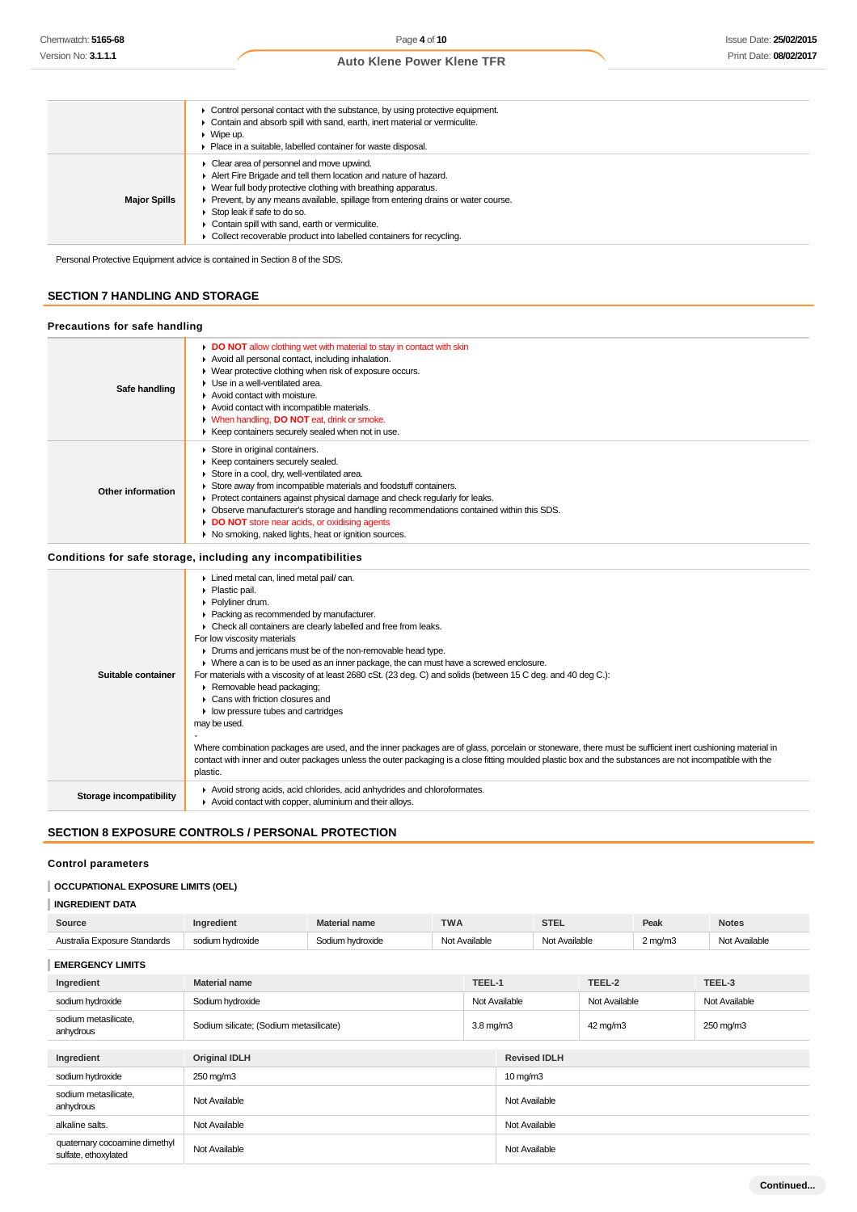|                     | Control personal contact with the substance, by using protective equipment.<br>Contain and absorb spill with sand, earth, inert material or vermiculite.<br>Wipe up.<br>Place in a suitable, labelled container for waste disposal.                                                                                                                                                                                      |
|---------------------|--------------------------------------------------------------------------------------------------------------------------------------------------------------------------------------------------------------------------------------------------------------------------------------------------------------------------------------------------------------------------------------------------------------------------|
| <b>Major Spills</b> | Clear area of personnel and move upwind.<br>Alert Fire Brigade and tell them location and nature of hazard.<br>• Wear full body protective clothing with breathing apparatus.<br>Prevent, by any means available, spillage from entering drains or water course.<br>Stop leak if safe to do so.<br>Contain spill with sand, earth or vermiculite.<br>Collect recoverable product into labelled containers for recycling. |

Personal Protective Equipment advice is contained in Section 8 of the SDS.

## **SECTION 7 HANDLING AND STORAGE**

## **Precautions for safe handling**

| Safe handling     | DO NOT allow clothing wet with material to stay in contact with skin<br>Avoid all personal contact, including inhalation.<br>• Wear protective clothing when risk of exposure occurs.<br>• Use in a well-ventilated area.<br>Avoid contact with moisture.<br>Avoid contact with incompatible materials.<br>• When handling, DO NOT eat, drink or smoke.<br>▶ Keep containers securely sealed when not in use.                                                              |
|-------------------|----------------------------------------------------------------------------------------------------------------------------------------------------------------------------------------------------------------------------------------------------------------------------------------------------------------------------------------------------------------------------------------------------------------------------------------------------------------------------|
| Other information | Store in original containers.<br>▶ Keep containers securely sealed.<br>Store in a cool, dry, well-ventilated area.<br>Store away from incompatible materials and foodstuff containers.<br>▶ Protect containers against physical damage and check regularly for leaks.<br>• Observe manufacturer's storage and handling recommendations contained within this SDS.<br>DO NOT store near acids, or oxidising agents<br>• No smoking, naked lights, heat or ignition sources. |

#### **Conditions for safe storage, including any incompatibilities**

| Suitable container      | Lined metal can, lined metal pail/ can.<br>• Plastic pail.<br>• Polyliner drum.<br>• Packing as recommended by manufacturer.<br>Check all containers are clearly labelled and free from leaks.<br>For low viscosity materials<br>• Drums and jerricans must be of the non-removable head type.<br>• Where a can is to be used as an inner package, the can must have a screwed enclosure.<br>For materials with a viscosity of at least 2680 cSt. (23 deg. C) and solids (between 15 C deg. and 40 deg C.):<br>Removable head packaging;<br>Cans with friction closures and<br>• low pressure tubes and cartridges<br>may be used.<br>Where combination packages are used, and the inner packages are of glass, porcelain or stoneware, there must be sufficient inert cushioning material in<br>contact with inner and outer packages unless the outer packaging is a close fitting moulded plastic box and the substances are not incompatible with the<br>plastic. |
|-------------------------|-----------------------------------------------------------------------------------------------------------------------------------------------------------------------------------------------------------------------------------------------------------------------------------------------------------------------------------------------------------------------------------------------------------------------------------------------------------------------------------------------------------------------------------------------------------------------------------------------------------------------------------------------------------------------------------------------------------------------------------------------------------------------------------------------------------------------------------------------------------------------------------------------------------------------------------------------------------------------|
| Storage incompatibility | ► Avoid strong acids, acid chlorides, acid anhydrides and chloroformates.<br>Avoid contact with copper, aluminium and their alloys.                                                                                                                                                                                                                                                                                                                                                                                                                                                                                                                                                                                                                                                                                                                                                                                                                                   |

## **SECTION 8 EXPOSURE CONTROLS / PERSONAL PROTECTION**

## **Control parameters**

## **OCCUPATIONAL EXPOSURE LIMITS (OEL)**

## **INGREDIENT DATA**

| Source                                                | Ingredient                             | <b>Material name</b> | <b>TWA</b>         |               | <b>STEL</b>          |               | Peak             | <b>Notes</b>  |  |
|-------------------------------------------------------|----------------------------------------|----------------------|--------------------|---------------|----------------------|---------------|------------------|---------------|--|
| Australia Exposure Standards                          | sodium hydroxide                       | Sodium hydroxide     |                    | Not Available | Not Available        |               | $2 \text{ mg/m}$ | Not Available |  |
| <b>EMERGENCY LIMITS</b>                               |                                        |                      |                    |               |                      |               |                  |               |  |
| Ingredient                                            | <b>Material name</b>                   |                      |                    | TEEL-1        |                      | TEEL-2        |                  | TEEL-3        |  |
| sodium hydroxide                                      | Sodium hydroxide                       |                      |                    | Not Available |                      | Not Available |                  | Not Available |  |
| sodium metasilicate,<br>anhydrous                     | Sodium silicate; (Sodium metasilicate) |                      | $3.8 \text{ mg/m}$ |               | 42 mg/m3             |               | 250 mg/m3        |               |  |
|                                                       |                                        |                      |                    |               |                      |               |                  |               |  |
| Ingredient                                            | <b>Original IDLH</b>                   |                      |                    |               | <b>Revised IDLH</b>  |               |                  |               |  |
| sodium hydroxide                                      | 250 mg/m3                              |                      |                    |               | $10 \,\mathrm{mq/m}$ |               |                  |               |  |
| sodium metasilicate,<br>anhydrous                     | Not Available                          |                      |                    |               | Not Available        |               |                  |               |  |
| alkaline salts.                                       | Not Available                          |                      |                    | Not Available |                      |               |                  |               |  |
| quaternary cocoamine dimethyl<br>sulfate, ethoxylated | Not Available                          |                      | Not Available      |               |                      |               |                  |               |  |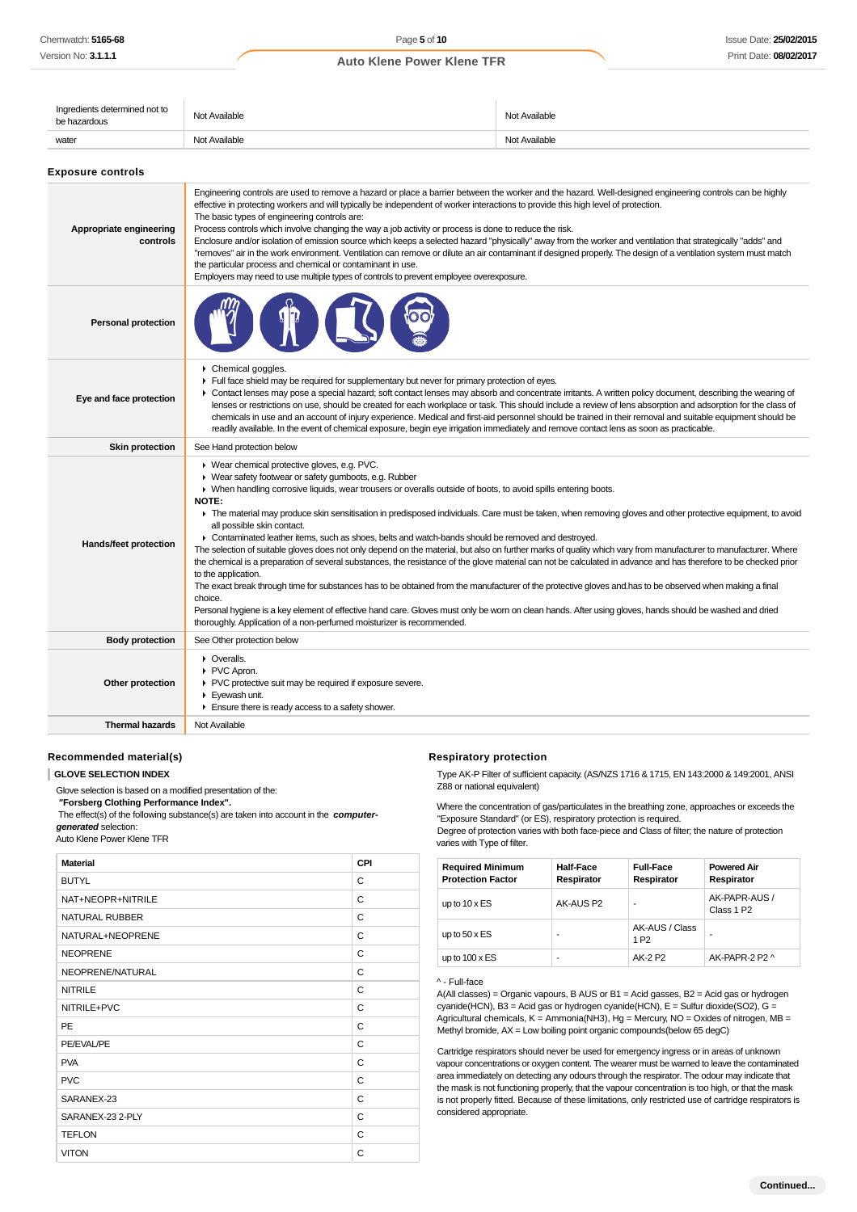| Ingredients determined not to<br>be hazardous | Not Available      | Not Available |
|-----------------------------------------------|--------------------|---------------|
| water                                         | Available<br>Not A | Not Available |

| Chemwatch: 5165-68                                                                                                                                                                                                     |                                                                                                                                                                                                                                                                                                                                                                                                                                                                                                                                                                                                                                                                                                                                                                                                                                                                                                                                                                                                                                                                                                                                                                                                                                                                     |                                                                                                                                                                                                                                                                                                                                                                                                                                                                                                                                                                                                                                                                                                                                                                                                                                                                                                                                                 | Page 5 of 10                                                                                                                                                                                                                                                                                                                                                                                      |               |                                                                  |                                                                                         | <b>Issue Date: 25/02/20</b>                                                                                                                                                                                                                                                                  |
|------------------------------------------------------------------------------------------------------------------------------------------------------------------------------------------------------------------------|---------------------------------------------------------------------------------------------------------------------------------------------------------------------------------------------------------------------------------------------------------------------------------------------------------------------------------------------------------------------------------------------------------------------------------------------------------------------------------------------------------------------------------------------------------------------------------------------------------------------------------------------------------------------------------------------------------------------------------------------------------------------------------------------------------------------------------------------------------------------------------------------------------------------------------------------------------------------------------------------------------------------------------------------------------------------------------------------------------------------------------------------------------------------------------------------------------------------------------------------------------------------|-------------------------------------------------------------------------------------------------------------------------------------------------------------------------------------------------------------------------------------------------------------------------------------------------------------------------------------------------------------------------------------------------------------------------------------------------------------------------------------------------------------------------------------------------------------------------------------------------------------------------------------------------------------------------------------------------------------------------------------------------------------------------------------------------------------------------------------------------------------------------------------------------------------------------------------------------|---------------------------------------------------------------------------------------------------------------------------------------------------------------------------------------------------------------------------------------------------------------------------------------------------------------------------------------------------------------------------------------------------|---------------|------------------------------------------------------------------|-----------------------------------------------------------------------------------------|----------------------------------------------------------------------------------------------------------------------------------------------------------------------------------------------------------------------------------------------------------------------------------------------|
| Version No: <b>3.1.1.1</b>                                                                                                                                                                                             | <b>Auto Klene Power Klene TFR</b>                                                                                                                                                                                                                                                                                                                                                                                                                                                                                                                                                                                                                                                                                                                                                                                                                                                                                                                                                                                                                                                                                                                                                                                                                                   |                                                                                                                                                                                                                                                                                                                                                                                                                                                                                                                                                                                                                                                                                                                                                                                                                                                                                                                                                 |                                                                                                                                                                                                                                                                                                                                                                                                   |               | Print Date: 08/02/20                                             |                                                                                         |                                                                                                                                                                                                                                                                                              |
|                                                                                                                                                                                                                        |                                                                                                                                                                                                                                                                                                                                                                                                                                                                                                                                                                                                                                                                                                                                                                                                                                                                                                                                                                                                                                                                                                                                                                                                                                                                     |                                                                                                                                                                                                                                                                                                                                                                                                                                                                                                                                                                                                                                                                                                                                                                                                                                                                                                                                                 |                                                                                                                                                                                                                                                                                                                                                                                                   |               |                                                                  |                                                                                         |                                                                                                                                                                                                                                                                                              |
| Ingredients determined not to<br>be hazardous                                                                                                                                                                          | Not Available                                                                                                                                                                                                                                                                                                                                                                                                                                                                                                                                                                                                                                                                                                                                                                                                                                                                                                                                                                                                                                                                                                                                                                                                                                                       |                                                                                                                                                                                                                                                                                                                                                                                                                                                                                                                                                                                                                                                                                                                                                                                                                                                                                                                                                 |                                                                                                                                                                                                                                                                                                                                                                                                   | Not Available |                                                                  |                                                                                         |                                                                                                                                                                                                                                                                                              |
| water                                                                                                                                                                                                                  | Not Available                                                                                                                                                                                                                                                                                                                                                                                                                                                                                                                                                                                                                                                                                                                                                                                                                                                                                                                                                                                                                                                                                                                                                                                                                                                       |                                                                                                                                                                                                                                                                                                                                                                                                                                                                                                                                                                                                                                                                                                                                                                                                                                                                                                                                                 |                                                                                                                                                                                                                                                                                                                                                                                                   | Not Available |                                                                  |                                                                                         |                                                                                                                                                                                                                                                                                              |
|                                                                                                                                                                                                                        |                                                                                                                                                                                                                                                                                                                                                                                                                                                                                                                                                                                                                                                                                                                                                                                                                                                                                                                                                                                                                                                                                                                                                                                                                                                                     |                                                                                                                                                                                                                                                                                                                                                                                                                                                                                                                                                                                                                                                                                                                                                                                                                                                                                                                                                 |                                                                                                                                                                                                                                                                                                                                                                                                   |               |                                                                  |                                                                                         |                                                                                                                                                                                                                                                                                              |
| <b>Exposure controls</b>                                                                                                                                                                                               |                                                                                                                                                                                                                                                                                                                                                                                                                                                                                                                                                                                                                                                                                                                                                                                                                                                                                                                                                                                                                                                                                                                                                                                                                                                                     |                                                                                                                                                                                                                                                                                                                                                                                                                                                                                                                                                                                                                                                                                                                                                                                                                                                                                                                                                 |                                                                                                                                                                                                                                                                                                                                                                                                   |               |                                                                  |                                                                                         |                                                                                                                                                                                                                                                                                              |
| Appropriate engineering<br>controls                                                                                                                                                                                    |                                                                                                                                                                                                                                                                                                                                                                                                                                                                                                                                                                                                                                                                                                                                                                                                                                                                                                                                                                                                                                                                                                                                                                                                                                                                     | Engineering controls are used to remove a hazard or place a barrier between the worker and the hazard. Well-designed engineering controls can be highly<br>effective in protecting workers and will typically be independent of worker interactions to provide this high level of protection.<br>The basic types of engineering controls are:<br>Process controls which involve changing the way a job activity or process is done to reduce the risk.<br>Enclosure and/or isolation of emission source which keeps a selected hazard "physically" away from the worker and ventilation that strategically "adds" and<br>"removes" air in the work environment. Ventilation can remove or dilute an air contaminant if designed properly. The design of a ventilation system must match<br>the particular process and chemical or contaminant in use.<br>Employers may need to use multiple types of controls to prevent employee overexposure. |                                                                                                                                                                                                                                                                                                                                                                                                   |               |                                                                  |                                                                                         |                                                                                                                                                                                                                                                                                              |
| <b>Personal protection</b>                                                                                                                                                                                             |                                                                                                                                                                                                                                                                                                                                                                                                                                                                                                                                                                                                                                                                                                                                                                                                                                                                                                                                                                                                                                                                                                                                                                                                                                                                     |                                                                                                                                                                                                                                                                                                                                                                                                                                                                                                                                                                                                                                                                                                                                                                                                                                                                                                                                                 |                                                                                                                                                                                                                                                                                                                                                                                                   |               |                                                                  |                                                                                         |                                                                                                                                                                                                                                                                                              |
| Eye and face protection                                                                                                                                                                                                | Chemical goggles.<br>Full face shield may be required for supplementary but never for primary protection of eyes.<br>► Contact lenses may pose a special hazard; soft contact lenses may absorb and concentrate irritants. A written policy document, describing the wearing of<br>lenses or restrictions on use, should be created for each workplace or task. This should include a review of lens absorption and adsorption for the class of<br>chemicals in use and an account of injury experience. Medical and first-aid personnel should be trained in their removal and suitable equipment should be<br>readily available. In the event of chemical exposure, begin eye irrigation immediately and remove contact lens as soon as practicable.                                                                                                                                                                                                                                                                                                                                                                                                                                                                                                              |                                                                                                                                                                                                                                                                                                                                                                                                                                                                                                                                                                                                                                                                                                                                                                                                                                                                                                                                                 |                                                                                                                                                                                                                                                                                                                                                                                                   |               |                                                                  |                                                                                         |                                                                                                                                                                                                                                                                                              |
| <b>Skin protection</b>                                                                                                                                                                                                 | See Hand protection below                                                                                                                                                                                                                                                                                                                                                                                                                                                                                                                                                                                                                                                                                                                                                                                                                                                                                                                                                                                                                                                                                                                                                                                                                                           |                                                                                                                                                                                                                                                                                                                                                                                                                                                                                                                                                                                                                                                                                                                                                                                                                                                                                                                                                 |                                                                                                                                                                                                                                                                                                                                                                                                   |               |                                                                  |                                                                                         |                                                                                                                                                                                                                                                                                              |
| Hands/feet protection                                                                                                                                                                                                  | • Wear safety footwear or safety gumboots, e.g. Rubber<br>▶ When handling corrosive liquids, wear trousers or overalls outside of boots, to avoid spills entering boots.<br><b>NOTE:</b><br>The material may produce skin sensitisation in predisposed individuals. Care must be taken, when removing gloves and other protective equipment, to avoid<br>all possible skin contact.<br>► Contaminated leather items, such as shoes, belts and watch-bands should be removed and destroyed.<br>The selection of suitable gloves does not only depend on the material, but also on further marks of quality which vary from manufacturer to manufacturer. Where<br>the chemical is a preparation of several substances, the resistance of the glove material can not be calculated in advance and has therefore to be checked prior<br>to the application.<br>The exact break through time for substances has to be obtained from the manufacturer of the protective gloves and has to be observed when making a final<br>choice.<br>Personal hygiene is a key element of effective hand care. Gloves must only be worn on clean hands. After using gloves, hands should be washed and dried<br>thoroughly. Application of a non-perfumed moisturizer is recommended. |                                                                                                                                                                                                                                                                                                                                                                                                                                                                                                                                                                                                                                                                                                                                                                                                                                                                                                                                                 |                                                                                                                                                                                                                                                                                                                                                                                                   |               |                                                                  |                                                                                         |                                                                                                                                                                                                                                                                                              |
| <b>Body protection</b>                                                                                                                                                                                                 | See Other protection below                                                                                                                                                                                                                                                                                                                                                                                                                                                                                                                                                                                                                                                                                                                                                                                                                                                                                                                                                                                                                                                                                                                                                                                                                                          |                                                                                                                                                                                                                                                                                                                                                                                                                                                                                                                                                                                                                                                                                                                                                                                                                                                                                                                                                 |                                                                                                                                                                                                                                                                                                                                                                                                   |               |                                                                  |                                                                                         |                                                                                                                                                                                                                                                                                              |
| Other protection                                                                                                                                                                                                       | • Overalls.<br>▶ PVC Apron.<br>PVC protective suit may be required if exposure severe.<br>Eyewash unit.<br>Ensure there is ready access to a safety shower.                                                                                                                                                                                                                                                                                                                                                                                                                                                                                                                                                                                                                                                                                                                                                                                                                                                                                                                                                                                                                                                                                                         |                                                                                                                                                                                                                                                                                                                                                                                                                                                                                                                                                                                                                                                                                                                                                                                                                                                                                                                                                 |                                                                                                                                                                                                                                                                                                                                                                                                   |               |                                                                  |                                                                                         |                                                                                                                                                                                                                                                                                              |
| <b>Thermal hazards</b>                                                                                                                                                                                                 | Not Available                                                                                                                                                                                                                                                                                                                                                                                                                                                                                                                                                                                                                                                                                                                                                                                                                                                                                                                                                                                                                                                                                                                                                                                                                                                       |                                                                                                                                                                                                                                                                                                                                                                                                                                                                                                                                                                                                                                                                                                                                                                                                                                                                                                                                                 |                                                                                                                                                                                                                                                                                                                                                                                                   |               |                                                                  |                                                                                         |                                                                                                                                                                                                                                                                                              |
| Recommended material(s)<br><b>GLOVE SELECTION INDEX</b><br>Glove selection is based on a modified presentation of the:<br>"Forsberg Clothing Performance Index".<br>generated selection:<br>Auto Klene Power Klene TFR | The effect(s) of the following substance(s) are taken into account in the computer-                                                                                                                                                                                                                                                                                                                                                                                                                                                                                                                                                                                                                                                                                                                                                                                                                                                                                                                                                                                                                                                                                                                                                                                 |                                                                                                                                                                                                                                                                                                                                                                                                                                                                                                                                                                                                                                                                                                                                                                                                                                                                                                                                                 | <b>Respiratory protection</b><br>Z88 or national equivalent)<br>varies with Type of filter.                                                                                                                                                                                                                                                                                                       |               | "Exposure Standard" (or ES), respiratory protection is required. |                                                                                         | Type AK-P Filter of sufficient capacity. (AS/NZS 1716 & 1715, EN 143:2000 & 149:2001, ANSI<br>Where the concentration of gas/particulates in the breathing zone, approaches or exceeds the<br>Degree of protection varies with both face-piece and Class of filter; the nature of protection |
| <b>Material</b>                                                                                                                                                                                                        |                                                                                                                                                                                                                                                                                                                                                                                                                                                                                                                                                                                                                                                                                                                                                                                                                                                                                                                                                                                                                                                                                                                                                                                                                                                                     | CPI                                                                                                                                                                                                                                                                                                                                                                                                                                                                                                                                                                                                                                                                                                                                                                                                                                                                                                                                             | <b>Required Minimum</b>                                                                                                                                                                                                                                                                                                                                                                           |               | <b>Half-Face</b>                                                 | <b>Full-Face</b>                                                                        | <b>Powered Air</b>                                                                                                                                                                                                                                                                           |
| <b>BUTYL</b>                                                                                                                                                                                                           |                                                                                                                                                                                                                                                                                                                                                                                                                                                                                                                                                                                                                                                                                                                                                                                                                                                                                                                                                                                                                                                                                                                                                                                                                                                                     | C                                                                                                                                                                                                                                                                                                                                                                                                                                                                                                                                                                                                                                                                                                                                                                                                                                                                                                                                               | <b>Protection Factor</b>                                                                                                                                                                                                                                                                                                                                                                          |               | Respirator                                                       | Respirator                                                                              | Respirator                                                                                                                                                                                                                                                                                   |
| NAT+NEOPR+NITRILE                                                                                                                                                                                                      |                                                                                                                                                                                                                                                                                                                                                                                                                                                                                                                                                                                                                                                                                                                                                                                                                                                                                                                                                                                                                                                                                                                                                                                                                                                                     | С                                                                                                                                                                                                                                                                                                                                                                                                                                                                                                                                                                                                                                                                                                                                                                                                                                                                                                                                               | up to $10 \times ES$                                                                                                                                                                                                                                                                                                                                                                              |               | AK-AUS P2                                                        |                                                                                         | AK-PAPR-AUS /<br>Class 1 P2                                                                                                                                                                                                                                                                  |
| NATURAL RUBBER                                                                                                                                                                                                         |                                                                                                                                                                                                                                                                                                                                                                                                                                                                                                                                                                                                                                                                                                                                                                                                                                                                                                                                                                                                                                                                                                                                                                                                                                                                     | C                                                                                                                                                                                                                                                                                                                                                                                                                                                                                                                                                                                                                                                                                                                                                                                                                                                                                                                                               |                                                                                                                                                                                                                                                                                                                                                                                                   |               |                                                                  | AK-AUS / Class                                                                          |                                                                                                                                                                                                                                                                                              |
| NATURAL+NEOPRENE                                                                                                                                                                                                       |                                                                                                                                                                                                                                                                                                                                                                                                                                                                                                                                                                                                                                                                                                                                                                                                                                                                                                                                                                                                                                                                                                                                                                                                                                                                     | C                                                                                                                                                                                                                                                                                                                                                                                                                                                                                                                                                                                                                                                                                                                                                                                                                                                                                                                                               | up to $50 \times ES$                                                                                                                                                                                                                                                                                                                                                                              |               |                                                                  | 1 P <sub>2</sub>                                                                        |                                                                                                                                                                                                                                                                                              |
| <b>NEOPRENE</b>                                                                                                                                                                                                        |                                                                                                                                                                                                                                                                                                                                                                                                                                                                                                                                                                                                                                                                                                                                                                                                                                                                                                                                                                                                                                                                                                                                                                                                                                                                     | C                                                                                                                                                                                                                                                                                                                                                                                                                                                                                                                                                                                                                                                                                                                                                                                                                                                                                                                                               | up to $100 \times ES$                                                                                                                                                                                                                                                                                                                                                                             |               | $\overline{\phantom{a}}$                                         | AK-2 P2                                                                                 | AK-PAPR-2 P2 ^                                                                                                                                                                                                                                                                               |
| NEOPRENE/NATURAL                                                                                                                                                                                                       |                                                                                                                                                                                                                                                                                                                                                                                                                                                                                                                                                                                                                                                                                                                                                                                                                                                                                                                                                                                                                                                                                                                                                                                                                                                                     | C                                                                                                                                                                                                                                                                                                                                                                                                                                                                                                                                                                                                                                                                                                                                                                                                                                                                                                                                               | ^ - Full-face                                                                                                                                                                                                                                                                                                                                                                                     |               |                                                                  |                                                                                         |                                                                                                                                                                                                                                                                                              |
| <b>NITRILE</b>                                                                                                                                                                                                         |                                                                                                                                                                                                                                                                                                                                                                                                                                                                                                                                                                                                                                                                                                                                                                                                                                                                                                                                                                                                                                                                                                                                                                                                                                                                     | С                                                                                                                                                                                                                                                                                                                                                                                                                                                                                                                                                                                                                                                                                                                                                                                                                                                                                                                                               |                                                                                                                                                                                                                                                                                                                                                                                                   |               |                                                                  |                                                                                         | $A(All classes) = Organic vapours, B AUS or B1 = Acid gases, B2 = Acid gas or hydrogen$                                                                                                                                                                                                      |
| NITRILE+PVC                                                                                                                                                                                                            |                                                                                                                                                                                                                                                                                                                                                                                                                                                                                                                                                                                                                                                                                                                                                                                                                                                                                                                                                                                                                                                                                                                                                                                                                                                                     | C                                                                                                                                                                                                                                                                                                                                                                                                                                                                                                                                                                                                                                                                                                                                                                                                                                                                                                                                               |                                                                                                                                                                                                                                                                                                                                                                                                   |               |                                                                  | cyanide (HCN), B3 = Acid gas or hydrogen cyanide (HCN), $E =$ Sulfur dioxide (SO2), G = | Agricultural chemicals, $K =$ Ammonia(NH3), Hg = Mercury, NO = Oxides of nitrogen, MB =                                                                                                                                                                                                      |
| <b>PE</b>                                                                                                                                                                                                              |                                                                                                                                                                                                                                                                                                                                                                                                                                                                                                                                                                                                                                                                                                                                                                                                                                                                                                                                                                                                                                                                                                                                                                                                                                                                     | C                                                                                                                                                                                                                                                                                                                                                                                                                                                                                                                                                                                                                                                                                                                                                                                                                                                                                                                                               |                                                                                                                                                                                                                                                                                                                                                                                                   |               |                                                                  | Methyl bromide, $AX = Low$ boiling point organic compounds (below 65 degC)              |                                                                                                                                                                                                                                                                                              |
| PE/EVAL/PE                                                                                                                                                                                                             |                                                                                                                                                                                                                                                                                                                                                                                                                                                                                                                                                                                                                                                                                                                                                                                                                                                                                                                                                                                                                                                                                                                                                                                                                                                                     | C                                                                                                                                                                                                                                                                                                                                                                                                                                                                                                                                                                                                                                                                                                                                                                                                                                                                                                                                               |                                                                                                                                                                                                                                                                                                                                                                                                   |               |                                                                  |                                                                                         |                                                                                                                                                                                                                                                                                              |
| <b>PVA</b>                                                                                                                                                                                                             |                                                                                                                                                                                                                                                                                                                                                                                                                                                                                                                                                                                                                                                                                                                                                                                                                                                                                                                                                                                                                                                                                                                                                                                                                                                                     | C                                                                                                                                                                                                                                                                                                                                                                                                                                                                                                                                                                                                                                                                                                                                                                                                                                                                                                                                               | Cartridge respirators should never be used for emergency ingress or in areas of unknown<br>vapour concentrations or oxygen content. The wearer must be warned to leave the contaminated<br>area immediately on detecting any odours through the respirator. The odour may indicate that<br>C<br>the mask is not functioning properly, that the vapour concentration is too high, or that the mask |               |                                                                  |                                                                                         |                                                                                                                                                                                                                                                                                              |
| <b>PVC</b>                                                                                                                                                                                                             |                                                                                                                                                                                                                                                                                                                                                                                                                                                                                                                                                                                                                                                                                                                                                                                                                                                                                                                                                                                                                                                                                                                                                                                                                                                                     |                                                                                                                                                                                                                                                                                                                                                                                                                                                                                                                                                                                                                                                                                                                                                                                                                                                                                                                                                 |                                                                                                                                                                                                                                                                                                                                                                                                   |               |                                                                  |                                                                                         |                                                                                                                                                                                                                                                                                              |
| SARANEX-23                                                                                                                                                                                                             |                                                                                                                                                                                                                                                                                                                                                                                                                                                                                                                                                                                                                                                                                                                                                                                                                                                                                                                                                                                                                                                                                                                                                                                                                                                                     | С                                                                                                                                                                                                                                                                                                                                                                                                                                                                                                                                                                                                                                                                                                                                                                                                                                                                                                                                               |                                                                                                                                                                                                                                                                                                                                                                                                   |               |                                                                  |                                                                                         | is not properly fitted. Because of these limitations, only restricted use of cartridge respirators is                                                                                                                                                                                        |
| CADANEY 22 2 BLV                                                                                                                                                                                                       |                                                                                                                                                                                                                                                                                                                                                                                                                                                                                                                                                                                                                                                                                                                                                                                                                                                                                                                                                                                                                                                                                                                                                                                                                                                                     |                                                                                                                                                                                                                                                                                                                                                                                                                                                                                                                                                                                                                                                                                                                                                                                                                                                                                                                                                 | considered appropriate.                                                                                                                                                                                                                                                                                                                                                                           |               |                                                                  |                                                                                         |                                                                                                                                                                                                                                                                                              |

## **Recommended material(s)**

| <b>Material</b>       | CPI |
|-----------------------|-----|
| <b>BUTYL</b>          | C   |
| NAT+NEOPR+NITRILE     | C   |
| <b>NATURAL RUBBER</b> | C   |
| NATURAL+NEOPRENE      | C   |
| <b>NEOPRENE</b>       | C   |
| NEOPRENE/NATURAL      | C   |
| <b>NITRILE</b>        | C   |
| NITRILE+PVC           | C   |
| PE                    | C   |
| PE/EVAL/PE            | C   |
| <b>PVA</b>            | C   |
| <b>PVC</b>            | C   |
| SARANEX-23            | C   |
| SARANEX-23 2-PLY      | C   |
| <b>TEFLON</b>         | C   |
| <b>VITON</b>          | C   |

#### **Respiratory protection**

| <b>Required Minimum</b><br><b>Protection Factor</b> | <b>Half-Face</b><br>Respirator | <b>Full-Face</b><br>Respirator     | <b>Powered Air</b><br>Respirator        |
|-----------------------------------------------------|--------------------------------|------------------------------------|-----------------------------------------|
| up to $10 \times ES$                                | AK-AUS P2                      | ٠                                  | AK-PAPR-AUS /<br>Class 1 P <sub>2</sub> |
| up to $50 \times ES$                                | ۰                              | AK-AUS / Class<br>1 P <sub>2</sub> | ۰                                       |
| up to $100 \times ES$                               | ۰                              | AK-2 P2                            | AK-PAPR-2 P2 ^                          |

#### ^ - Full-face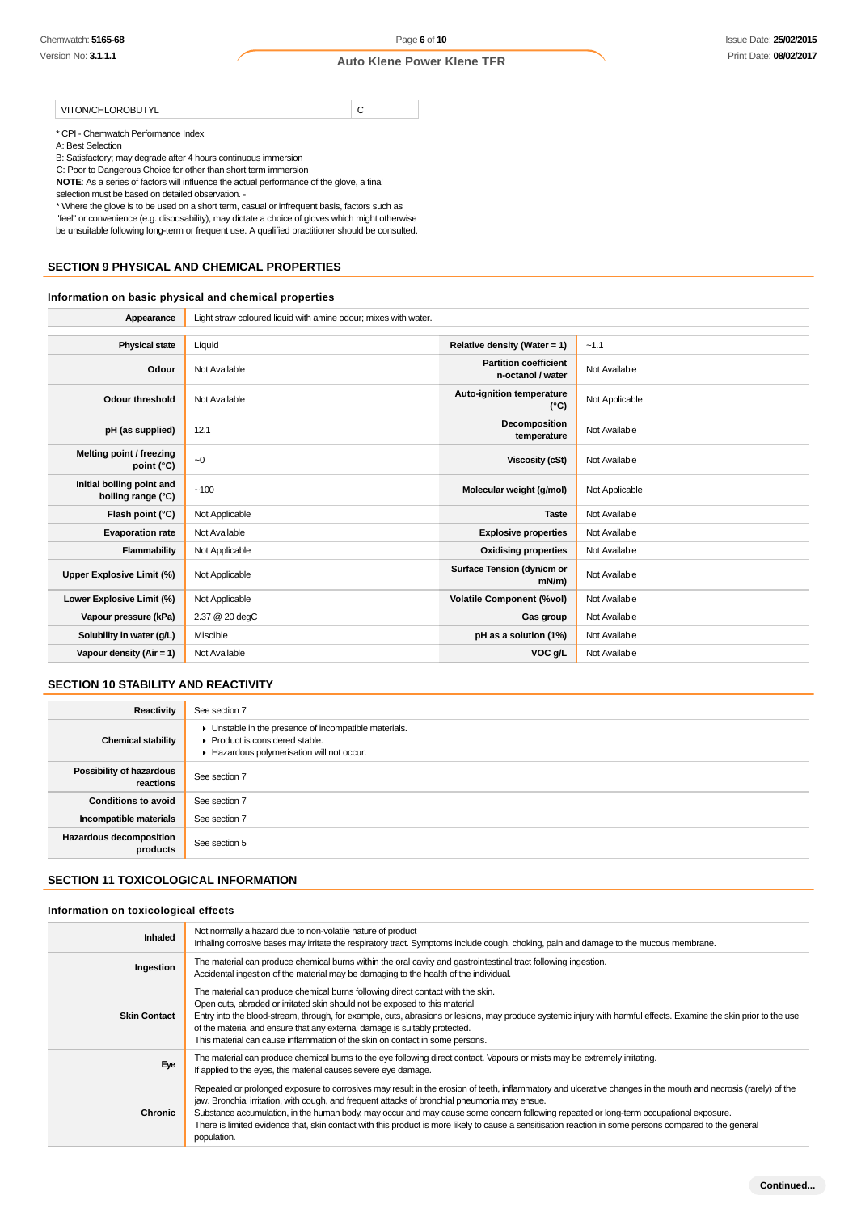VITON/CHLOROBUTYL
C

\* CPI - Chemwatch Performance Index

A: Best Selection

B: Satisfactory; may degrade after 4 hours continuous immersion

C: Poor to Dangerous Choice for other than short term immersion

**NOTE**: As a series of factors will influence the actual performance of the glove, a final selection must be based on detailed observation. -

\* Where the glove is to be used on a short term, casual or infrequent basis, factors such as "feel" or convenience (e.g. disposability), may dictate a choice of gloves which might otherwise be unsuitable following long-term or frequent use. A qualified practitioner should be consulted.

#### **SECTION 9 PHYSICAL AND CHEMICAL PROPERTIES**

### **Information on basic physical and chemical properties**

**Appearance** Light straw coloured liquid with amine odour; mixes with water.

| <b>Physical state</b>                           | Liquid         | Relative density (Water = $1$ )                   | $-1.1$         |
|-------------------------------------------------|----------------|---------------------------------------------------|----------------|
| Odour                                           | Not Available  | <b>Partition coefficient</b><br>n-octanol / water | Not Available  |
| Odour threshold                                 | Not Available  | Auto-ignition temperature<br>$(^{\circ}C)$        | Not Applicable |
| pH (as supplied)                                | 12.1           | Decomposition<br>temperature                      | Not Available  |
| Melting point / freezing<br>point (°C)          | $-0$           | Viscosity (cSt)                                   | Not Available  |
| Initial boiling point and<br>boiling range (°C) | ~100           | Molecular weight (g/mol)                          | Not Applicable |
| Flash point (°C)                                | Not Applicable | <b>Taste</b>                                      | Not Available  |
| <b>Evaporation rate</b>                         | Not Available  | <b>Explosive properties</b>                       | Not Available  |
| Flammability                                    | Not Applicable | <b>Oxidising properties</b>                       | Not Available  |
| Upper Explosive Limit (%)                       | Not Applicable | Surface Tension (dyn/cm or<br>$mN/m$ )            | Not Available  |
| Lower Explosive Limit (%)                       | Not Applicable | <b>Volatile Component (%vol)</b>                  | Not Available  |
| Vapour pressure (kPa)                           | 2.37 @ 20 degC | Gas group                                         | Not Available  |
| Solubility in water (g/L)                       | Miscible       | pH as a solution (1%)                             | Not Available  |
| Vapour density ( $Air = 1$ )                    | Not Available  | VOC g/L                                           | Not Available  |

## **SECTION 10 STABILITY AND REACTIVITY**

| Reactivity                                 | See section 7                                                                                                                      |
|--------------------------------------------|------------------------------------------------------------------------------------------------------------------------------------|
| <b>Chemical stability</b>                  | Unstable in the presence of incompatible materials.<br>▶ Product is considered stable.<br>Hazardous polymerisation will not occur. |
| Possibility of hazardous<br>reactions      | See section 7                                                                                                                      |
| <b>Conditions to avoid</b>                 | See section 7                                                                                                                      |
| Incompatible materials                     | See section 7                                                                                                                      |
| <b>Hazardous decomposition</b><br>products | See section 5                                                                                                                      |

## **SECTION 11 TOXICOLOGICAL INFORMATION**

#### **Information on toxicological effects**

| Inhaled             | Not normally a hazard due to non-volatile nature of product<br>Inhaling corrosive bases may irritate the respiratory tract. Symptoms include cough, choking, pain and damage to the mucous membrane.                                                                                                                                                                                                                                                                                                                                                                                |
|---------------------|-------------------------------------------------------------------------------------------------------------------------------------------------------------------------------------------------------------------------------------------------------------------------------------------------------------------------------------------------------------------------------------------------------------------------------------------------------------------------------------------------------------------------------------------------------------------------------------|
| Ingestion           | The material can produce chemical burns within the oral cavity and gastrointestinal tract following ingestion.<br>Accidental ingestion of the material may be damaging to the health of the individual.                                                                                                                                                                                                                                                                                                                                                                             |
| <b>Skin Contact</b> | The material can produce chemical burns following direct contact with the skin.<br>Open cuts, abraded or irritated skin should not be exposed to this material<br>Entry into the blood-stream, through, for example, cuts, abrasions or lesions, may produce systemic injury with harmful effects. Examine the skin prior to the use<br>of the material and ensure that any external damage is suitably protected.<br>This material can cause inflammation of the skin on contact in some persons.                                                                                  |
| Eye                 | The material can produce chemical burns to the eye following direct contact. Vapours or mists may be extremely irritating.<br>If applied to the eyes, this material causes severe eye damage.                                                                                                                                                                                                                                                                                                                                                                                       |
| <b>Chronic</b>      | Repeated or prolonged exposure to corrosives may result in the erosion of teeth, inflammatory and ulcerative changes in the mouth and necrosis (rarely) of the<br>jaw. Bronchial irritation, with cough, and frequent attacks of bronchial pneumonia may ensue.<br>Substance accumulation, in the human body, may occur and may cause some concern following repeated or long-term occupational exposure.<br>There is limited evidence that, skin contact with this product is more likely to cause a sensitisation reaction in some persons compared to the general<br>population. |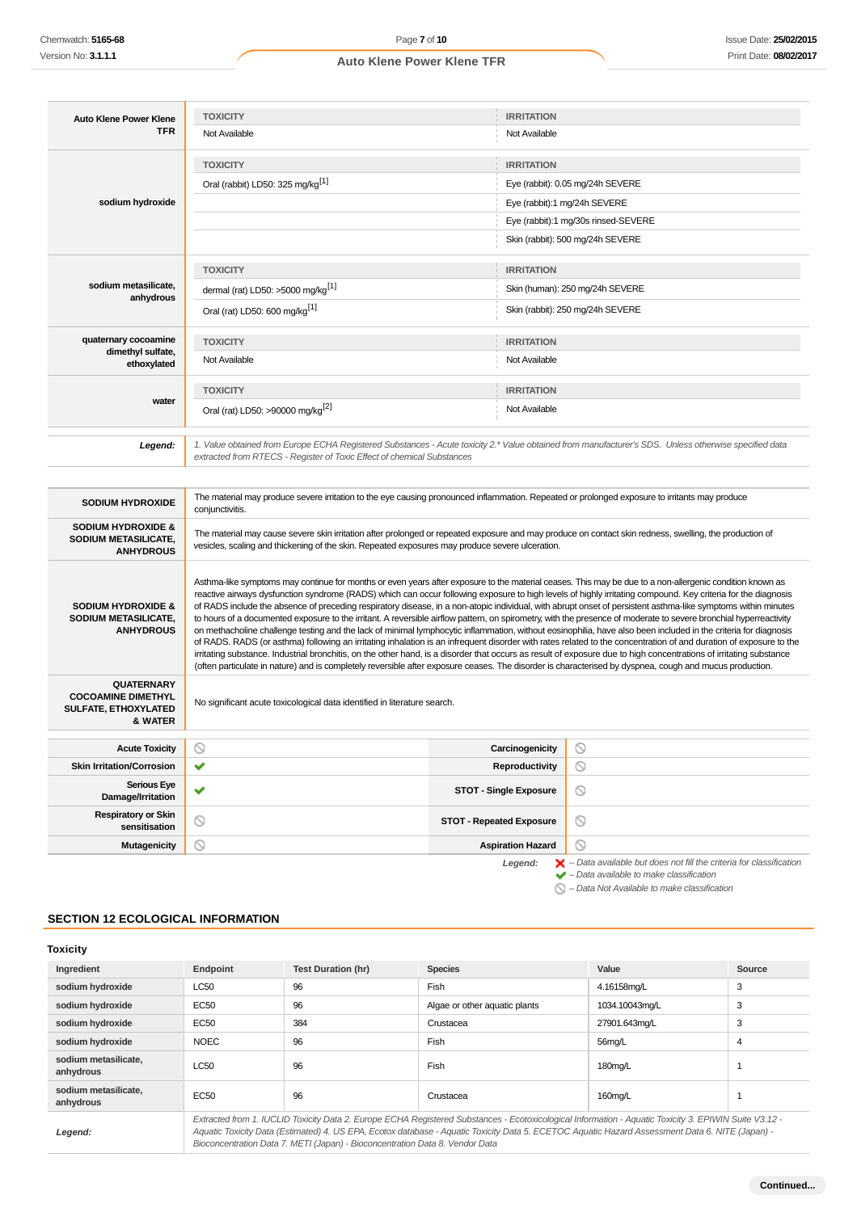| <b>Auto Klene Power Klene</b>                                                     | <b>TOXICITY</b>                                                                                                                                                                                                                                                                                                                                                                                                                                                                                                                                                                                                                                                                                                                                                                                                                                                                                                                                                                                                                                                                                                                                                                                                                                                                                                                         | <b>IRRITATION</b>               |                                                                                                                                                           |
|-----------------------------------------------------------------------------------|-----------------------------------------------------------------------------------------------------------------------------------------------------------------------------------------------------------------------------------------------------------------------------------------------------------------------------------------------------------------------------------------------------------------------------------------------------------------------------------------------------------------------------------------------------------------------------------------------------------------------------------------------------------------------------------------------------------------------------------------------------------------------------------------------------------------------------------------------------------------------------------------------------------------------------------------------------------------------------------------------------------------------------------------------------------------------------------------------------------------------------------------------------------------------------------------------------------------------------------------------------------------------------------------------------------------------------------------|---------------------------------|-----------------------------------------------------------------------------------------------------------------------------------------------------------|
| TFR                                                                               | Not Available                                                                                                                                                                                                                                                                                                                                                                                                                                                                                                                                                                                                                                                                                                                                                                                                                                                                                                                                                                                                                                                                                                                                                                                                                                                                                                                           | Not Available                   |                                                                                                                                                           |
|                                                                                   | <b>TOXICITY</b>                                                                                                                                                                                                                                                                                                                                                                                                                                                                                                                                                                                                                                                                                                                                                                                                                                                                                                                                                                                                                                                                                                                                                                                                                                                                                                                         | <b>IRRITATION</b>               |                                                                                                                                                           |
|                                                                                   | Oral (rabbit) LD50: 325 mg/kg <sup>[1]</sup>                                                                                                                                                                                                                                                                                                                                                                                                                                                                                                                                                                                                                                                                                                                                                                                                                                                                                                                                                                                                                                                                                                                                                                                                                                                                                            |                                 | Eye (rabbit): 0.05 mg/24h SEVERE                                                                                                                          |
| sodium hydroxide                                                                  |                                                                                                                                                                                                                                                                                                                                                                                                                                                                                                                                                                                                                                                                                                                                                                                                                                                                                                                                                                                                                                                                                                                                                                                                                                                                                                                                         |                                 | Eye (rabbit):1 mg/24h SEVERE                                                                                                                              |
|                                                                                   |                                                                                                                                                                                                                                                                                                                                                                                                                                                                                                                                                                                                                                                                                                                                                                                                                                                                                                                                                                                                                                                                                                                                                                                                                                                                                                                                         |                                 | Eye (rabbit):1 mg/30s rinsed-SEVERE                                                                                                                       |
|                                                                                   |                                                                                                                                                                                                                                                                                                                                                                                                                                                                                                                                                                                                                                                                                                                                                                                                                                                                                                                                                                                                                                                                                                                                                                                                                                                                                                                                         |                                 | Skin (rabbit): 500 mg/24h SEVERE                                                                                                                          |
|                                                                                   | <b>TOXICITY</b>                                                                                                                                                                                                                                                                                                                                                                                                                                                                                                                                                                                                                                                                                                                                                                                                                                                                                                                                                                                                                                                                                                                                                                                                                                                                                                                         | <b>IRRITATION</b>               |                                                                                                                                                           |
| sodium metasilicate.                                                              | dermal (rat) LD50: >5000 mg/kg <sup>[1]</sup>                                                                                                                                                                                                                                                                                                                                                                                                                                                                                                                                                                                                                                                                                                                                                                                                                                                                                                                                                                                                                                                                                                                                                                                                                                                                                           |                                 | Skin (human): 250 mg/24h SEVERE                                                                                                                           |
| anhydrous                                                                         | Oral (rat) LD50: 600 mg/kg <sup>[1]</sup>                                                                                                                                                                                                                                                                                                                                                                                                                                                                                                                                                                                                                                                                                                                                                                                                                                                                                                                                                                                                                                                                                                                                                                                                                                                                                               |                                 | Skin (rabbit): 250 mg/24h SEVERE                                                                                                                          |
| quaternary cocoamine                                                              | <b>TOXICITY</b>                                                                                                                                                                                                                                                                                                                                                                                                                                                                                                                                                                                                                                                                                                                                                                                                                                                                                                                                                                                                                                                                                                                                                                                                                                                                                                                         | <b>IRRITATION</b>               |                                                                                                                                                           |
| dimethyl sulfate,<br>ethoxylated                                                  | Not Available                                                                                                                                                                                                                                                                                                                                                                                                                                                                                                                                                                                                                                                                                                                                                                                                                                                                                                                                                                                                                                                                                                                                                                                                                                                                                                                           | Not Available                   |                                                                                                                                                           |
|                                                                                   | <b>TOXICITY</b>                                                                                                                                                                                                                                                                                                                                                                                                                                                                                                                                                                                                                                                                                                                                                                                                                                                                                                                                                                                                                                                                                                                                                                                                                                                                                                                         | <b>IRRITATION</b>               |                                                                                                                                                           |
| water                                                                             | Oral (rat) LD50: >90000 mg/kg <sup>[2]</sup>                                                                                                                                                                                                                                                                                                                                                                                                                                                                                                                                                                                                                                                                                                                                                                                                                                                                                                                                                                                                                                                                                                                                                                                                                                                                                            | Not Available                   |                                                                                                                                                           |
| Legend:                                                                           | 1. Value obtained from Europe ECHA Registered Substances - Acute toxicity 2.* Value obtained from manufacturer's SDS. Unless otherwise specified data<br>extracted from RTECS - Register of Toxic Effect of chemical Substances                                                                                                                                                                                                                                                                                                                                                                                                                                                                                                                                                                                                                                                                                                                                                                                                                                                                                                                                                                                                                                                                                                         |                                 |                                                                                                                                                           |
| <b>SODIUM HYDROXIDE</b>                                                           | The material may produce severe irritation to the eye causing pronounced inflammation. Repeated or prolonged exposure to irritants may produce<br>conjunctivitis.                                                                                                                                                                                                                                                                                                                                                                                                                                                                                                                                                                                                                                                                                                                                                                                                                                                                                                                                                                                                                                                                                                                                                                       |                                 |                                                                                                                                                           |
| <b>SODIUM HYDROXIDE &amp;</b><br>SODIUM METASILICATE,<br><b>ANHYDROUS</b>         | The material may cause severe skin irritation after prolonged or repeated exposure and may produce on contact skin redness, swelling, the production of<br>vesicles, scaling and thickening of the skin. Repeated exposures may produce severe ulceration.                                                                                                                                                                                                                                                                                                                                                                                                                                                                                                                                                                                                                                                                                                                                                                                                                                                                                                                                                                                                                                                                              |                                 |                                                                                                                                                           |
| <b>SODIUM HYDROXIDE &amp;</b><br>SODIUM METASILICATE,<br><b>ANHYDROUS</b>         | Asthma-like symptoms may continue for months or even years after exposure to the material ceases. This may be due to a non-allergenic condition known as<br>reactive airways dysfunction syndrome (RADS) which can occur following exposure to high levels of highly irritating compound. Key criteria for the diagnosis<br>of RADS include the absence of preceding respiratory disease, in a non-atopic individual, with abrupt onset of persistent asthma-like symptoms within minutes<br>to hours of a documented exposure to the irritant. A reversible airflow pattern, on spirometry, with the presence of moderate to severe bronchial hyperreactivity<br>on methacholine challenge testing and the lack of minimal lymphocytic inflammation, without eosinophilia, have also been included in the criteria for diagnosis<br>of RADS. RADS (or asthma) following an irritating inhalation is an infrequent disorder with rates related to the concentration of and duration of exposure to the<br>irritating substance. Industrial bronchitis, on the other hand, is a disorder that occurs as result of exposure due to high concentrations of irritating substance<br>(often particulate in nature) and is completely reversible after exposure ceases. The disorder is characterised by dyspnea, cough and mucus production. |                                 |                                                                                                                                                           |
| <b>QUATERNARY</b><br><b>COCOAMINE DIMETHYL</b><br>SULFATE, ETHOXYLATED<br>& WATER | No significant acute toxicological data identified in literature search.                                                                                                                                                                                                                                                                                                                                                                                                                                                                                                                                                                                                                                                                                                                                                                                                                                                                                                                                                                                                                                                                                                                                                                                                                                                                |                                 |                                                                                                                                                           |
| <b>Acute Toxicity</b>                                                             | $\circledcirc$                                                                                                                                                                                                                                                                                                                                                                                                                                                                                                                                                                                                                                                                                                                                                                                                                                                                                                                                                                                                                                                                                                                                                                                                                                                                                                                          | Carcinogenicity                 | $\circledcirc$                                                                                                                                            |
| <b>Skin Irritation/Corrosion</b>                                                  | ✔                                                                                                                                                                                                                                                                                                                                                                                                                                                                                                                                                                                                                                                                                                                                                                                                                                                                                                                                                                                                                                                                                                                                                                                                                                                                                                                                       | Reproductivity                  | $\odot$                                                                                                                                                   |
| <b>Serious Eye</b><br>Damage/Irritation                                           | ✔                                                                                                                                                                                                                                                                                                                                                                                                                                                                                                                                                                                                                                                                                                                                                                                                                                                                                                                                                                                                                                                                                                                                                                                                                                                                                                                                       | <b>STOT - Single Exposure</b>   | $\circledcirc$                                                                                                                                            |
| <b>Respiratory or Skin</b><br>sensitisation                                       | $\circledcirc$                                                                                                                                                                                                                                                                                                                                                                                                                                                                                                                                                                                                                                                                                                                                                                                                                                                                                                                                                                                                                                                                                                                                                                                                                                                                                                                          | <b>STOT - Repeated Exposure</b> | $\circledcirc$                                                                                                                                            |
| <b>Mutagenicity</b>                                                               | $\circledcirc$                                                                                                                                                                                                                                                                                                                                                                                                                                                                                                                                                                                                                                                                                                                                                                                                                                                                                                                                                                                                                                                                                                                                                                                                                                                                                                                          | <b>Aspiration Hazard</b>        | $\circledcirc$                                                                                                                                            |
|                                                                                   |                                                                                                                                                                                                                                                                                                                                                                                                                                                                                                                                                                                                                                                                                                                                                                                                                                                                                                                                                                                                                                                                                                                                                                                                                                                                                                                                         | Legend:                         | $\blacktriangleright$ - Data available but does not fill the criteria for classification<br>$\blacktriangleright$ - Data available to make classification |

– Data Not Available to make classification

## **SECTION 12 ECOLOGICAL INFORMATION**

## **Toxicity**

| Ingredient                        | Endpoint                                                                                                                                                                                                                                                                                                                                                                                 | <b>Test Duration (hr)</b> | <b>Species</b>                | Value          | Source |
|-----------------------------------|------------------------------------------------------------------------------------------------------------------------------------------------------------------------------------------------------------------------------------------------------------------------------------------------------------------------------------------------------------------------------------------|---------------------------|-------------------------------|----------------|--------|
| sodium hydroxide                  | <b>LC50</b>                                                                                                                                                                                                                                                                                                                                                                              | 96                        | Fish                          | 4.16158mg/L    | 3      |
| sodium hydroxide                  | EC50                                                                                                                                                                                                                                                                                                                                                                                     | 96                        | Algae or other aquatic plants | 1034.10043mg/L | 3      |
| sodium hydroxide                  | EC50                                                                                                                                                                                                                                                                                                                                                                                     | 384                       | Crustacea                     | 27901.643mg/L  | 3      |
| sodium hydroxide                  | <b>NOEC</b>                                                                                                                                                                                                                                                                                                                                                                              | 96                        | Fish                          | 56mg/L         | 4      |
| sodium metasilicate.<br>anhydrous | <b>LC50</b>                                                                                                                                                                                                                                                                                                                                                                              | 96                        | Fish                          | 180mg/L        |        |
| sodium metasilicate.<br>anhydrous | EC50                                                                                                                                                                                                                                                                                                                                                                                     | 96                        | Crustacea                     | 160mg/L        |        |
| Legend:                           | Extracted from 1. IUCLID Toxicity Data 2. Europe ECHA Registered Substances - Ecotoxicological Information - Aguatic Toxicity 3. EPIWIN Suite V3.12 -<br>Aquatic Toxicity Data (Estimated) 4. US EPA, Ecotox database - Aquatic Toxicity Data 5. ECETOC Aquatic Hazard Assessment Data 6. NITE (Japan) -<br>Bioconcentration Data 7. METI (Japan) - Bioconcentration Data 8. Vendor Data |                           |                               |                |        |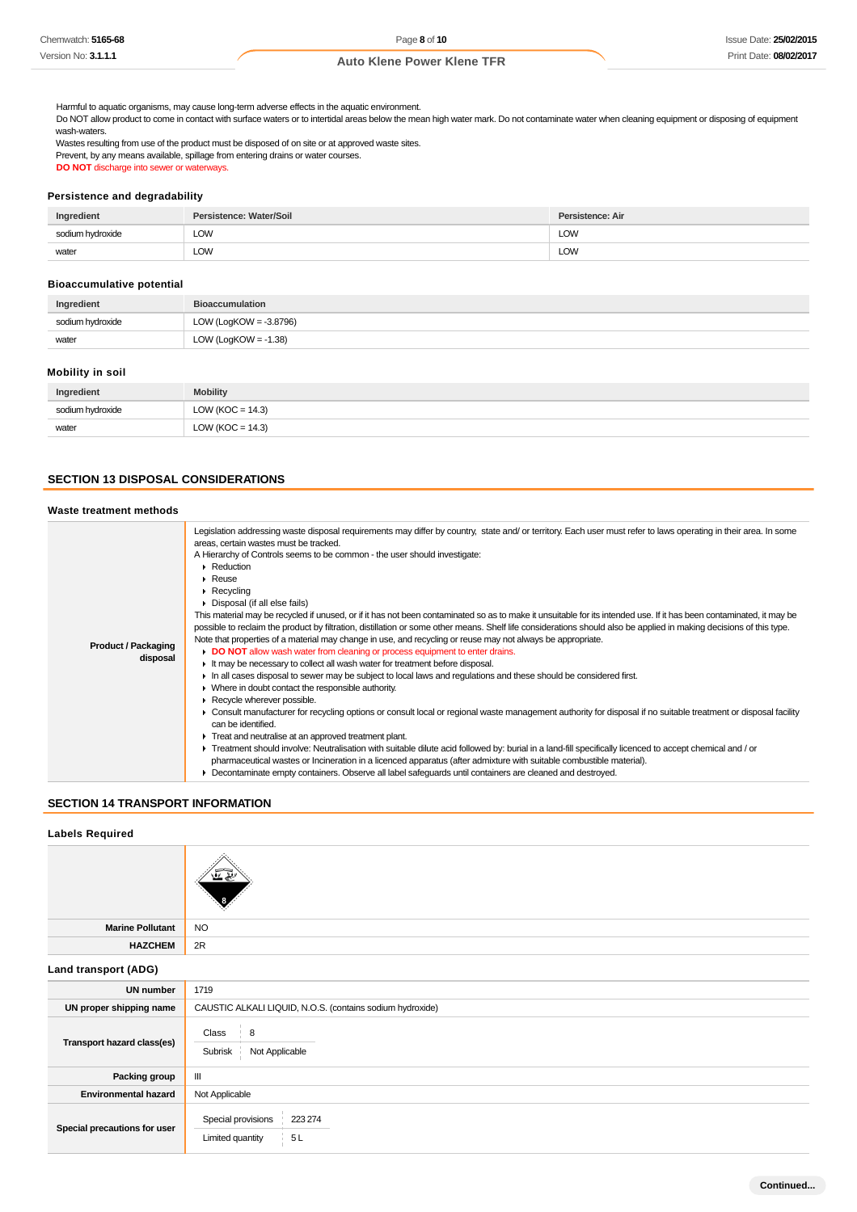Harmful to aquatic organisms, may cause long-term adverse effects in the aquatic environment.

Do NOT allow product to come in contact with surface waters or to intertidal areas below the mean high water mark. Do not contaminate water when cleaning equipment or disposing of equipment wash-waters.

Wastes resulting from use of the product must be disposed of on site or at approved waste sites. Prevent, by any means available, spillage from entering drains or water courses. **DO NOT** discharge into sewer or waterways.

## **Persistence and degradability**

| Ingredient           | Persistence: Water/Soil | Persistence: Air |
|----------------------|-------------------------|------------------|
| um hvdroxide<br>codi | <b>LOW</b>              | LOW<br>___       |
| water                | <b>LOW</b>              | <b>LOW</b>       |

## **Bioaccumulative potential**

| Ingredient       | <b>Bioaccumulation</b>    |
|------------------|---------------------------|
| sodium hydroxide | LOW (LogKOW = $-3.8796$ ) |
| water            | LOW (LogKOW = $-1.38$ )   |

#### **Mobility in soil**

| Ingredient       | <b>Mobility</b>      |
|------------------|----------------------|
| sodium hydroxide | LOW ( $KOC = 14.3$ ) |
| water            | LOW ( $KOC = 14.3$ ) |

## **SECTION 13 DISPOSAL CONSIDERATIONS**

## **Waste treatment methods**

|                            | Legislation addressing waste disposal requirements may differ by country, state and/ or territory. Each user must refer to laws operating in their area. In some<br>areas, certain wastes must be tracked. |
|----------------------------|------------------------------------------------------------------------------------------------------------------------------------------------------------------------------------------------------------|
|                            | A Hierarchy of Controls seems to be common - the user should investigate:                                                                                                                                  |
|                            | $\blacktriangleright$ Reduction                                                                                                                                                                            |
|                            | $\blacktriangleright$ Reuse                                                                                                                                                                                |
|                            | $\triangleright$ Recycling                                                                                                                                                                                 |
|                            | Disposal (if all else fails)                                                                                                                                                                               |
|                            | This material may be recycled if unused, or if it has not been contaminated so as to make it unsuitable for its intended use. If it has been contaminated, it may be                                       |
|                            | possible to reclaim the product by filtration, distillation or some other means. Shelf life considerations should also be applied in making decisions of this type.                                        |
| <b>Product / Packaging</b> | Note that properties of a material may change in use, and recycling or reuse may not always be appropriate.                                                                                                |
| disposal                   | DO NOT allow wash water from cleaning or process equipment to enter drains.                                                                                                                                |
|                            | It may be necessary to collect all wash water for treatment before disposal.                                                                                                                               |
|                            | In all cases disposal to sewer may be subject to local laws and regulations and these should be considered first.                                                                                          |
|                            | • Where in doubt contact the responsible authority.                                                                                                                                                        |
|                            | Recycle wherever possible.                                                                                                                                                                                 |
|                            | ► Consult manufacturer for recycling options or consult local or regional waste management authority for disposal if no suitable treatment or disposal facility                                            |
|                            | can be identified.                                                                                                                                                                                         |
|                            | Treat and neutralise at an approved treatment plant.                                                                                                                                                       |
|                            | F Treatment should involve: Neutralisation with suitable dilute acid followed by: burial in a land-fill specifically licenced to accept chemical and / or                                                  |
|                            | pharmaceutical wastes or Incineration in a licenced apparatus (after admixture with suitable combustible material).                                                                                        |
|                            | • Decontaminate empty containers. Observe all label safeguards until containers are cleaned and destroyed.                                                                                                 |

## **SECTION 14 TRANSPORT INFORMATION**

| <b>Labels Required</b>       |                                                           |
|------------------------------|-----------------------------------------------------------|
|                              | $\sim$ $\approx$                                          |
| <b>Marine Pollutant</b>      | <b>NO</b>                                                 |
| <b>HAZCHEM</b>               | 2R                                                        |
| Land transport (ADG)         |                                                           |
| <b>UN number</b>             | 1719                                                      |
| UN proper shipping name      | CAUSTIC ALKALI LIQUID, N.O.S. (contains sodium hydroxide) |
| Transport hazard class(es)   | 8<br>Class<br>Not Applicable<br>Subrisk                   |
| Packing group                | $\ensuremath{\mathsf{III}}\xspace$                        |
| <b>Environmental hazard</b>  | Not Applicable                                            |
| Special precautions for user | Special provisions<br>223 274<br>Limited quantity<br>5L   |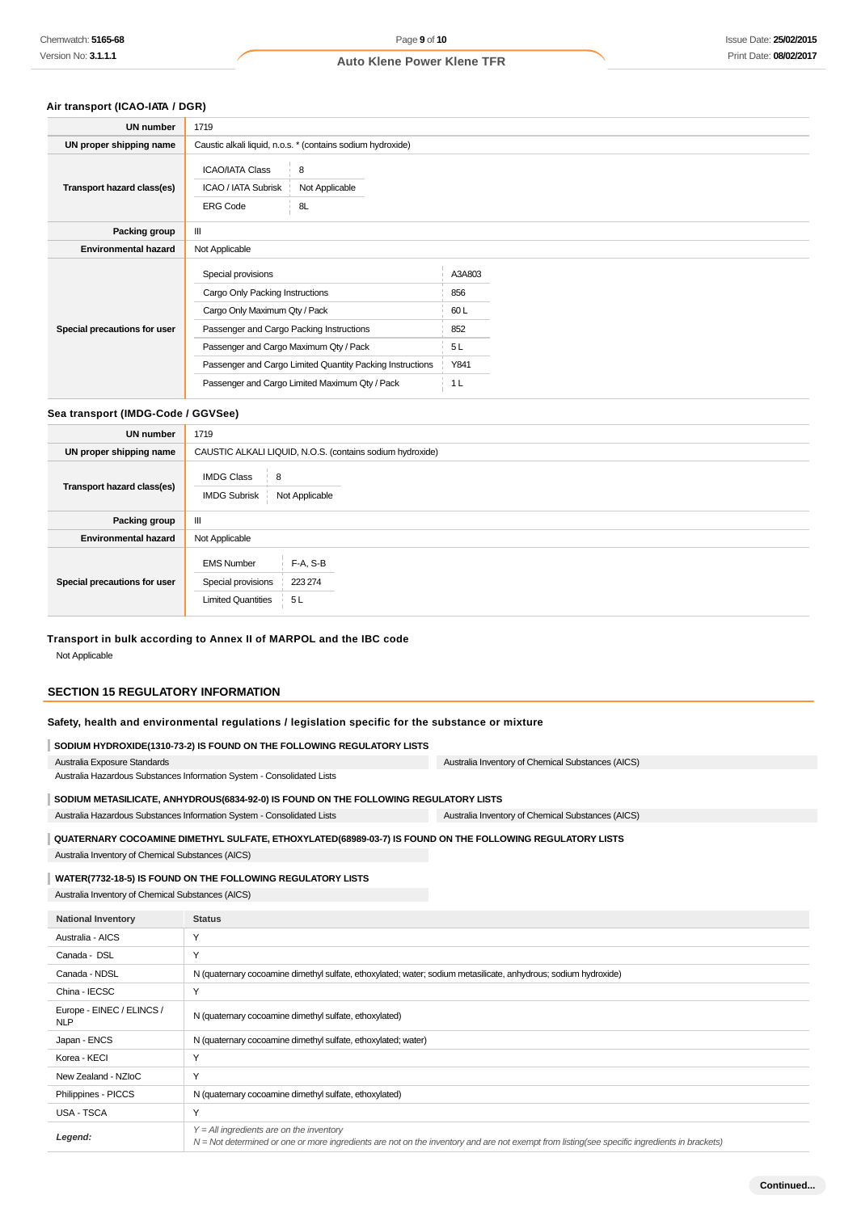## **Air transport (ICAO-IATA / DGR)**

| <b>UN number</b>             | 1719                                                                                                                                                                                                                                                                                        |                                                             |  |
|------------------------------|---------------------------------------------------------------------------------------------------------------------------------------------------------------------------------------------------------------------------------------------------------------------------------------------|-------------------------------------------------------------|--|
| UN proper shipping name      | Caustic alkali liquid, n.o.s. * (contains sodium hydroxide)                                                                                                                                                                                                                                 |                                                             |  |
| Transport hazard class(es)   | <b>ICAO/IATA Class</b><br>8<br><b>ICAO / IATA Subrisk</b><br>Not Applicable<br>8L<br><b>ERG Code</b>                                                                                                                                                                                        |                                                             |  |
| Packing group                | Ш                                                                                                                                                                                                                                                                                           |                                                             |  |
| <b>Environmental hazard</b>  | Not Applicable                                                                                                                                                                                                                                                                              |                                                             |  |
| Special precautions for user | Special provisions<br>Cargo Only Packing Instructions<br>Cargo Only Maximum Qty / Pack<br>Passenger and Cargo Packing Instructions<br>Passenger and Cargo Maximum Qty / Pack<br>Passenger and Cargo Limited Quantity Packing Instructions<br>Passenger and Cargo Limited Maximum Qty / Pack | A3A803<br>856<br>60L<br>852<br>5L<br>Y841<br>1 <sub>L</sub> |  |

#### **Sea transport (IMDG-Code / GGVSee)**

| <b>UN number</b>             | 1719                                                                                               |
|------------------------------|----------------------------------------------------------------------------------------------------|
| UN proper shipping name      | CAUSTIC ALKALI LIQUID, N.O.S. (contains sodium hydroxide)                                          |
| Transport hazard class(es)   | <b>IMDG Class</b><br>8<br><b>IMDG Subrisk</b><br>Not Applicable                                    |
| Packing group                | Ш                                                                                                  |
| <b>Environmental hazard</b>  | Not Applicable                                                                                     |
| Special precautions for user | F-A, S-B<br><b>EMS Number</b><br>Special provisions<br>223 274<br><b>Limited Quantities</b><br>5 L |

Australia Inventory of Chemical Substances (AICS)

### **Transport in bulk according to Annex II of MARPOL and the IBC code**

Not Applicable

## **SECTION 15 REGULATORY INFORMATION**

#### **Safety, health and environmental regulations / legislation specific for the substance or mixture**

#### **SODIUM HYDROXIDE(1310-73-2) IS FOUND ON THE FOLLOWING REGULATORY LISTS**

Australia Exposure Standards Australia Hazardous Substances Information System - Consolidated Lists

**SODIUM METASILICATE, ANHYDROUS(6834-92-0) IS FOUND ON THE FOLLOWING REGULATORY LISTS** Australia Hazardous Substances Information System - Consolidated Lists Australia Inventory of Chemical Substances (AICS)

# **QUATERNARY COCOAMINE DIMETHYL SULFATE, ETHOXYLATED(68989-03-7) IS FOUND ON THE FOLLOWING REGULATORY LISTS**

Australia Inventory of Chemical Substances (AICS)

## **WATER(7732-18-5) IS FOUND ON THE FOLLOWING REGULATORY LISTS**

Australia Inventory of Chemical Substances (AICS)

| <b>National Inventory</b>               | <b>Status</b>                                                                                                                                                                              |
|-----------------------------------------|--------------------------------------------------------------------------------------------------------------------------------------------------------------------------------------------|
| Australia - AICS                        | $\checkmark$                                                                                                                                                                               |
| Canada - DSL                            | Υ                                                                                                                                                                                          |
| Canada - NDSL                           | N (quaternary cocoamine dimethyl sulfate, ethoxylated; water; sodium metasilicate, anhydrous; sodium hydroxide)                                                                            |
| China - IECSC                           | $\checkmark$                                                                                                                                                                               |
| Europe - EINEC / ELINCS /<br><b>NLP</b> | N (quaternary cocoamine dimethyl sulfate, ethoxylated)                                                                                                                                     |
| Japan - ENCS                            | N (quaternary cocoamine dimethyl sulfate, ethoxylated; water)                                                                                                                              |
| Korea - KECI                            | Y                                                                                                                                                                                          |
| New Zealand - NZIoC                     | Υ                                                                                                                                                                                          |
| Philippines - PICCS                     | N (quaternary cocoamine dimethyl sulfate, ethoxylated)                                                                                                                                     |
| USA - TSCA                              | Υ                                                                                                                                                                                          |
| Legend:                                 | $Y = All$ ingredients are on the inventory<br>N = Not determined or one or more ingredients are not on the inventory and are not exempt from listing(see specific ingredients in brackets) |